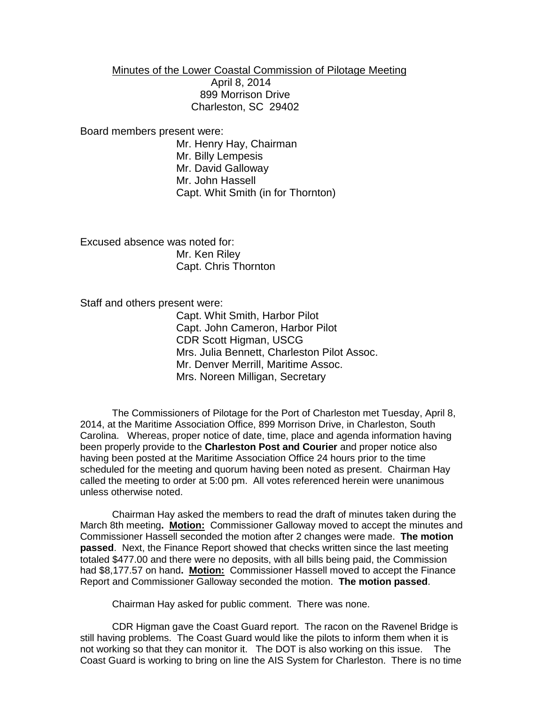Minutes of the Lower Coastal Commission of Pilotage Meeting

 April 8, 2014 899 Morrison Drive Charleston, SC 29402

Board members present were:

Mr. Henry Hay, Chairman Mr. Billy Lempesis Mr. David Galloway Mr. John Hassell Capt. Whit Smith (in for Thornton)

Excused absence was noted for: Mr. Ken Riley Capt. Chris Thornton

Staff and others present were:

Capt. Whit Smith, Harbor Pilot Capt. John Cameron, Harbor Pilot CDR Scott Higman, USCG Mrs. Julia Bennett, Charleston Pilot Assoc. Mr. Denver Merrill, Maritime Assoc. Mrs. Noreen Milligan, Secretary

The Commissioners of Pilotage for the Port of Charleston met Tuesday, April 8, 2014, at the Maritime Association Office, 899 Morrison Drive, in Charleston, South Carolina. Whereas, proper notice of date, time, place and agenda information having been properly provide to the **Charleston Post and Courier** and proper notice also having been posted at the Maritime Association Office 24 hours prior to the time scheduled for the meeting and quorum having been noted as present. Chairman Hay called the meeting to order at 5:00 pm. All votes referenced herein were unanimous unless otherwise noted.

Chairman Hay asked the members to read the draft of minutes taken during the March 8th meeting**. Motion:** Commissioner Galloway moved to accept the minutes and Commissioner Hassell seconded the motion after 2 changes were made. **The motion passed**. Next, the Finance Report showed that checks written since the last meeting totaled \$477.00 and there were no deposits, with all bills being paid, the Commission had \$8,177.57 on hand**. Motion:** Commissioner Hassell moved to accept the Finance Report and Commissioner Galloway seconded the motion. **The motion passed**.

Chairman Hay asked for public comment. There was none.

CDR Higman gave the Coast Guard report. The racon on the Ravenel Bridge is still having problems. The Coast Guard would like the pilots to inform them when it is not working so that they can monitor it. The DOT is also working on this issue. The Coast Guard is working to bring on line the AIS System for Charleston. There is no time